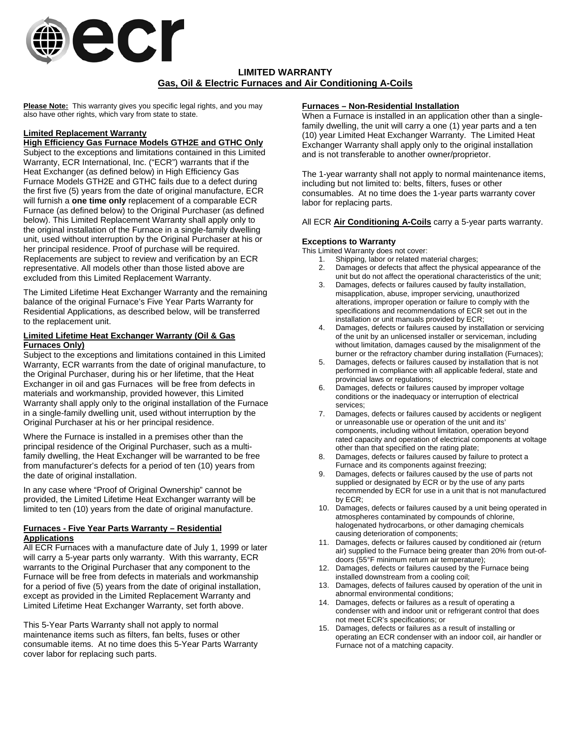

# **LIMITED WARRANTY Gas, Oil & Electric Furnaces and Air Conditioning A-Coils**

**Please Note:** This warranty gives you specific legal rights, and you may also have other rights, which vary from state to state.

# **Limited Replacement Warranty**

# **High Efficiency Gas Furnace Models GTH2E and GTHC Only**

Subject to the exceptions and limitations contained in this Limited Warranty, ECR International, Inc. ("ECR") warrants that if the Heat Exchanger (as defined below) in High Efficiency Gas Furnace Models GTH2E and GTHC fails due to a defect during the first five (5) years from the date of original manufacture, ECR will furnish a **one time only** replacement of a comparable ECR Furnace (as defined below) to the Original Purchaser (as defined below). This Limited Replacement Warranty shall apply only to the original installation of the Furnace in a single-family dwelling unit, used without interruption by the Original Purchaser at his or her principal residence. Proof of purchase will be required. Replacements are subject to review and verification by an ECR representative. All models other than those listed above are excluded from this Limited Replacement Warranty.

The Limited Lifetime Heat Exchanger Warranty and the remaining balance of the original Furnace's Five Year Parts Warranty for Residential Applications, as described below, will be transferred to the replacement unit.

#### **Limited Lifetime Heat Exchanger Warranty (Oil & Gas Furnaces Only)**

Subject to the exceptions and limitations contained in this Limited Warranty, ECR warrants from the date of original manufacture, to the Original Purchaser, during his or her lifetime, that the Heat Exchanger in oil and gas Furnaces will be free from defects in materials and workmanship, provided however, this Limited Warranty shall apply only to the original installation of the Furnace in a single-family dwelling unit, used without interruption by the Original Purchaser at his or her principal residence.

Where the Furnace is installed in a premises other than the principal residence of the Original Purchaser, such as a multifamily dwelling, the Heat Exchanger will be warranted to be free from manufacturer's defects for a period of ten (10) years from the date of original installation.

In any case where "Proof of Original Ownership" cannot be provided, the Limited Lifetime Heat Exchanger warranty will be limited to ten (10) years from the date of original manufacture.

# **Furnaces - Five Year Parts Warranty – Residential Applications**

All ECR Furnaces with a manufacture date of July 1, 1999 or later will carry a 5-year parts only warranty. With this warranty, ECR warrants to the Original Purchaser that any component to the Furnace will be free from defects in materials and workmanship for a period of five (5) years from the date of original installation, except as provided in the Limited Replacement Warranty and Limited Lifetime Heat Exchanger Warranty, set forth above.

This 5-Year Parts Warranty shall not apply to normal maintenance items such as filters, fan belts, fuses or other consumable items. At no time does this 5-Year Parts Warranty cover labor for replacing such parts.

#### **Furnaces – Non-Residential Installation**

When a Furnace is installed in an application other than a singlefamily dwelling, the unit will carry a one (1) year parts and a ten (10) year Limited Heat Exchanger Warranty. The Limited Heat Exchanger Warranty shall apply only to the original installation and is not transferable to another owner/proprietor.

The 1-year warranty shall not apply to normal maintenance items, including but not limited to: belts, filters, fuses or other consumables. At no time does the 1-year parts warranty cover labor for replacing parts.

All ECR **Air Conditioning A-Coils** carry a 5-year parts warranty.

## **Exceptions to Warranty**

This Limited Warranty does not cover:

- 1. Shipping, labor or related material charges:
- 2. Damages or defects that affect the physical appearance of the unit but do not affect the operational characteristics of the unit;
- 3. Damages, defects or failures caused by faulty installation, misapplication, abuse, improper servicing, unauthorized alterations, improper operation or failure to comply with the specifications and recommendations of ECR set out in the installation or unit manuals provided by ECR;
- 4. Damages, defects or failures caused by installation or servicing of the unit by an unlicensed installer or serviceman, including without limitation, damages caused by the misalignment of the burner or the refractory chamber during installation (Furnaces);
- 5. Damages, defects or failures caused by installation that is not performed in compliance with all applicable federal, state and provincial laws or regulations;
- 6. Damages, defects or failures caused by improper voltage conditions or the inadequacy or interruption of electrical services;
- 7. Damages, defects or failures caused by accidents or negligent or unreasonable use or operation of the unit and its' components, including without limitation, operation beyond rated capacity and operation of electrical components at voltage other than that specified on the rating plate;
- 8. Damages, defects or failures caused by failure to protect a Furnace and its components against freezing;
- 9. Damages, defects or failures caused by the use of parts not supplied or designated by ECR or by the use of any parts recommended by ECR for use in a unit that is not manufactured by ECR;
- 10. Damages, defects or failures caused by a unit being operated in atmospheres contaminated by compounds of chlorine, halogenated hydrocarbons, or other damaging chemicals causing deterioration of components;
- 11. Damages, defects or failures caused by conditioned air (return air) supplied to the Furnace being greater than 20% from out-ofdoors (55°F minimum return air temperature);
- 12. Damages, defects or failures caused by the Furnace being installed downstream from a cooling coil;
- 13. Damages, defects of failures caused by operation of the unit in abnormal environmental conditions;
- 14. Damages, defects or failures as a result of operating a condenser with and indoor unit or refrigerant control that does not meet ECR's specifications; or
- 15. Damages, defects or failures as a result of installing or operating an ECR condenser with an indoor coil, air handler or Furnace not of a matching capacity.